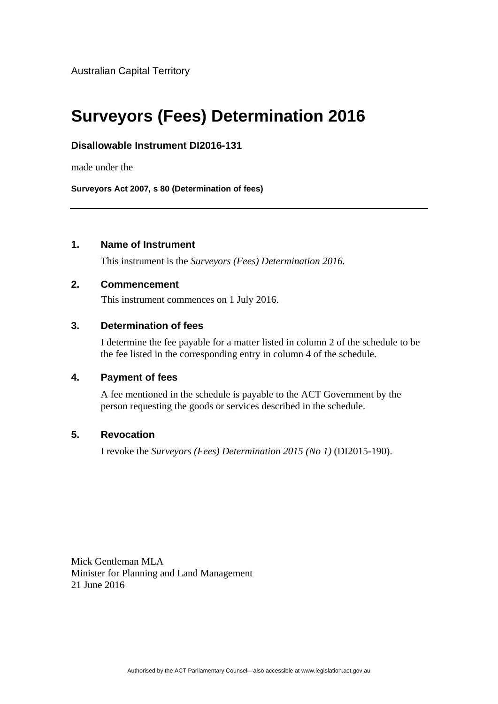Australian Capital Territory

# **Surveyors (Fees) Determination 2016**

## **Disallowable Instrument DI2016-131**

made under the

**Surveyors Act 2007***,* **s 80 (Determination of fees)**

## **1. Name of Instrument**

This instrument is the *Surveyors (Fees) Determination 2016.* 

#### **2. Commencement**

This instrument commences on 1 July 2016.

## **3. Determination of fees**

I determine the fee payable for a matter listed in column 2 of the schedule to be the fee listed in the corresponding entry in column 4 of the schedule.

#### **4. Payment of fees**

A fee mentioned in the schedule is payable to the ACT Government by the person requesting the goods or services described in the schedule.

### **5. Revocation**

I revoke the *Surveyors (Fees) Determination 2015 (No 1)* (DI2015-190).

Mick Gentleman MLA Minister for Planning and Land Management 21 June 2016